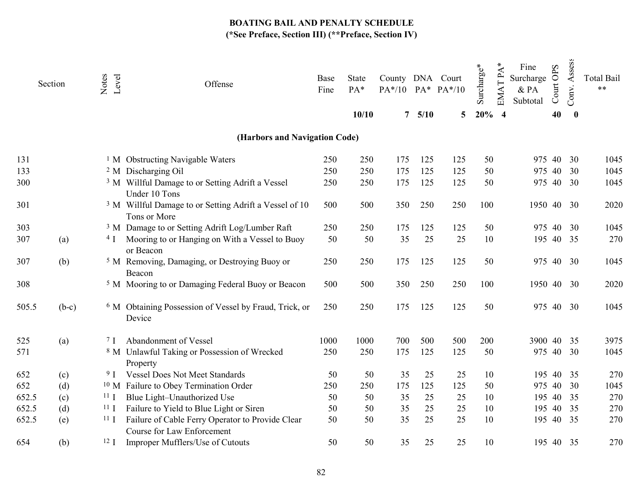|       | Section | Level<br>Notes  | Offense                                                                               | Base<br>Fine | State<br>PA*<br>10/10 | County DNA Court<br>$PA*/10$ $PA*$ $PA*/10$<br>$\overline{7}$ | 5/10 | 5   | Surcharge*<br>$20%$ 4 | EMAT PA*<br>Fine<br>Surcharge<br>& PA<br>Subtotal | Court OPS<br>40 | Assess<br>Conv.<br>$\bf{0}$ | <b>Total Bail</b><br>$***$ |
|-------|---------|-----------------|---------------------------------------------------------------------------------------|--------------|-----------------------|---------------------------------------------------------------|------|-----|-----------------------|---------------------------------------------------|-----------------|-----------------------------|----------------------------|
|       |         |                 |                                                                                       |              |                       |                                                               |      |     |                       |                                                   |                 |                             |                            |
|       |         |                 | (Harbors and Navigation Code)                                                         |              |                       |                                                               |      |     |                       |                                                   |                 |                             |                            |
| 131   |         |                 | <sup>1</sup> M Obstructing Navigable Waters                                           | 250          | 250                   | 175                                                           | 125  | 125 | 50                    | 975 40                                            |                 | 30                          | 1045                       |
| 133   |         |                 | <sup>2</sup> M Discharging Oil                                                        | 250          | 250                   | 175                                                           | 125  | 125 | 50                    | 975 40                                            |                 | 30                          | 1045                       |
| 300   |         |                 | <sup>3</sup> M Willful Damage to or Setting Adrift a Vessel<br>Under 10 Tons          | 250          | 250                   | 175                                                           | 125  | 125 | 50                    | 975 40                                            |                 | 30                          | 1045                       |
| 301   |         |                 | <sup>3</sup> M Willful Damage to or Setting Adrift a Vessel of 10<br>Tons or More     | 500          | 500                   | 350                                                           | 250  | 250 | 100                   | 1950 40 30                                        |                 |                             | 2020                       |
| 303   |         |                 | <sup>3</sup> M Damage to or Setting Adrift Log/Lumber Raft                            | 250          | 250                   | 175                                                           | 125  | 125 | 50                    | 975 40                                            |                 | 30                          | 1045                       |
| 307   | (a)     | 4 <sub>I</sub>  | Mooring to or Hanging on With a Vessel to Buoy<br>or Beacon                           | 50           | 50                    | 35                                                            | 25   | 25  | 10                    | 195                                               |                 | 40 35                       | 270                        |
| 307   | (b)     |                 | <sup>5</sup> M Removing, Damaging, or Destroying Buoy or<br>Beacon                    | 250          | 250                   | 175                                                           | 125  | 125 | 50                    | 975                                               | 40              | 30                          | 1045                       |
| 308   |         |                 | <sup>5</sup> M Mooring to or Damaging Federal Buoy or Beacon                          | 500          | 500                   | 350                                                           | 250  | 250 | 100                   | 1950 40 30                                        |                 |                             | 2020                       |
| 505.5 | $(b-c)$ |                 | <sup>6</sup> M Obtaining Possession of Vessel by Fraud, Trick, or<br>Device           | 250          | 250                   | 175                                                           | 125  | 125 | 50                    | 975 40 30                                         |                 |                             | 1045                       |
| 525   | (a)     | 7 <sub>I</sub>  | Abandonment of Vessel                                                                 | 1000         | 1000                  | 700                                                           | 500  | 500 | 200                   | 3900 40 35                                        |                 |                             | 3975                       |
| 571   |         |                 | <sup>8</sup> M Unlawful Taking or Possession of Wrecked<br>Property                   | 250          | 250                   | 175                                                           | 125  | 125 | 50                    | 975 40 30                                         |                 |                             | 1045                       |
| 652   | (c)     | 9 <sub>1</sub>  | <b>Vessel Does Not Meet Standards</b>                                                 | 50           | 50                    | 35                                                            | 25   | 25  | 10                    |                                                   | 195 40          | 35                          | 270                        |
| 652   | (d)     |                 | <sup>10</sup> M Failure to Obey Termination Order                                     | 250          | 250                   | 175                                                           | 125  | 125 | 50                    | 975                                               | 40              | 30                          | 1045                       |
| 652.5 | (c)     | 11 <sub>1</sub> | Blue Light-Unauthorized Use                                                           | 50           | 50                    | 35                                                            | 25   | 25  | 10                    | 195                                               | 40              | 35                          | 270                        |
| 652.5 | (d)     | 11 <sub>I</sub> | Failure to Yield to Blue Light or Siren                                               | 50           | 50                    | 35                                                            | 25   | 25  | 10                    | 195                                               | 40              | 35                          | 270                        |
| 652.5 | (e)     | 11 <sub>I</sub> | Failure of Cable Ferry Operator to Provide Clear<br><b>Course for Law Enforcement</b> | 50           | 50                    | 35                                                            | 25   | 25  | 10                    |                                                   | 195 40 35       |                             | 270                        |
| 654   | (b)     | 12 <sub>I</sub> | Improper Mufflers/Use of Cutouts                                                      | 50           | 50                    | 35                                                            | 25   | 25  | 10                    | 195 40 35                                         |                 |                             | 270                        |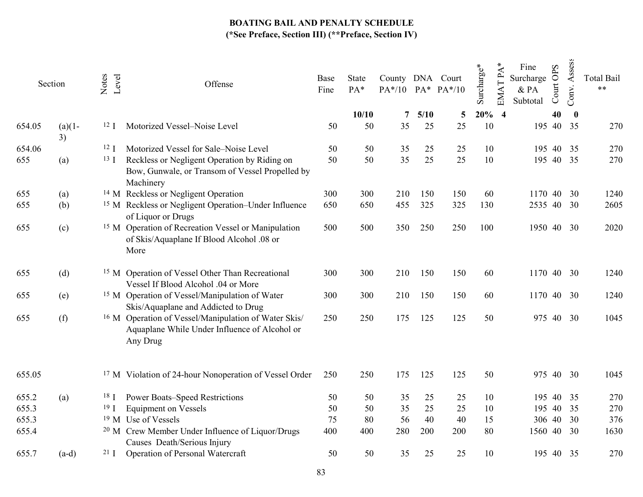| Section |           | Level<br>Notes  | Offense                                                                                                                      | Base<br>Fine | State<br>PA* | County DNA Court<br>$PA*/10$ $PA*$ $PA*/10$ |            |         | Surcharge*    | <b>EMATPA</b> | Fine<br>Surcharge<br>$&$ PA<br>Subtotal | Court OPS | Assess<br>Conv. | <b>Total Bail</b><br>$**$ |
|---------|-----------|-----------------|------------------------------------------------------------------------------------------------------------------------------|--------------|--------------|---------------------------------------------|------------|---------|---------------|---------------|-----------------------------------------|-----------|-----------------|---------------------------|
| 654.05  | $(a)(1 -$ | 12 <sub>I</sub> | Motorized Vessel-Noise Level                                                                                                 | 50           | 10/10<br>50  | 7<br>35                                     | 5/10<br>25 | 5<br>25 | $20%$ 4<br>10 |               | 195 40                                  | 40        | $\bf{0}$<br>35  | 270                       |
|         | 3)        |                 |                                                                                                                              |              |              |                                             |            |         |               |               |                                         |           |                 |                           |
| 654.06  |           | 12 <sub>l</sub> | Motorized Vessel for Sale-Noise Level                                                                                        | 50           | 50           | 35                                          | 25         | 25      | 10            |               | 195                                     | 40        | 35              | 270                       |
| 655     | (a)       | 13 <sub>I</sub> | Reckless or Negligent Operation by Riding on<br>Bow, Gunwale, or Transom of Vessel Propelled by<br>Machinery                 | 50           | 50           | 35                                          | 25         | 25      | 10            |               | 195 40                                  |           | 35              | 270                       |
| 655     | (a)       |                 | <sup>14</sup> M Reckless or Negligent Operation                                                                              | 300          | 300          | 210                                         | 150        | 150     | 60            |               | 1170                                    | 40        | 30              | 1240                      |
| 655     | (b)       |                 | <sup>15</sup> M Reckless or Negligent Operation–Under Influence<br>of Liquor or Drugs                                        | 650          | 650          | 455                                         | 325        | 325     | 130           |               | 2535 40 30                              |           |                 | 2605                      |
| 655     | (c)       |                 | <sup>15</sup> M Operation of Recreation Vessel or Manipulation<br>of Skis/Aquaplane If Blood Alcohol .08 or<br>More          | 500          | 500          | 350                                         | 250        | 250     | 100           |               | 1950 40 30                              |           |                 | 2020                      |
| 655     | (d)       |                 | <sup>15</sup> M Operation of Vessel Other Than Recreational<br>Vessel If Blood Alcohol .04 or More                           | 300          | 300          | 210                                         | 150        | 150     | 60            |               | 1170 40 30                              |           |                 | 1240                      |
| 655     | (e)       |                 | <sup>15</sup> M Operation of Vessel/Manipulation of Water<br>Skis/Aquaplane and Addicted to Drug                             | 300          | 300          | 210                                         | 150        | 150     | 60            |               | 1170                                    |           | 40 30           | 1240                      |
| 655     | (f)       |                 | <sup>16</sup> M Operation of Vessel/Manipulation of Water Skis/<br>Aquaplane While Under Influence of Alcohol or<br>Any Drug | 250          | 250          | 175                                         | 125        | 125     | 50            |               | 975                                     | 40        | 30              | 1045                      |
| 655.05  |           |                 | <sup>17</sup> M Violation of 24-hour Nonoperation of Vessel Order                                                            | 250          | 250          | 175                                         | 125        | 125     | 50            |               | 975 40                                  |           | 30              | 1045                      |
| 655.2   | (a)       | 18 <sub>l</sub> | <b>Power Boats-Speed Restrictions</b>                                                                                        | 50           | 50           | 35                                          | 25         | 25      | 10            |               | 195                                     | 40        | 35              | 270                       |
| 655.3   |           | 19 <sub>I</sub> | <b>Equipment on Vessels</b>                                                                                                  | 50           | 50           | 35                                          | 25         | 25      | 10            |               | 195                                     | 40        | 35              | 270                       |
| 655.3   |           |                 | <sup>19</sup> M Use of Vessels                                                                                               | 75           | 80           | 56                                          | 40         | 40      | 15            |               | 306 40                                  |           | 30              | 376                       |
| 655.4   |           |                 | <sup>20</sup> M Crew Member Under Influence of Liquor/Drugs<br>Causes Death/Serious Injury                                   | 400          | 400          | 280                                         | 200        | 200     | 80            |               | 1560 40 30                              |           |                 | 1630                      |
| 655.7   | $(a-d)$   | $21 \text{ I}$  | Operation of Personal Watercraft                                                                                             | 50           | 50           | 35                                          | 25         | 25      | 10            |               | 195 40 35                               |           |                 | 270                       |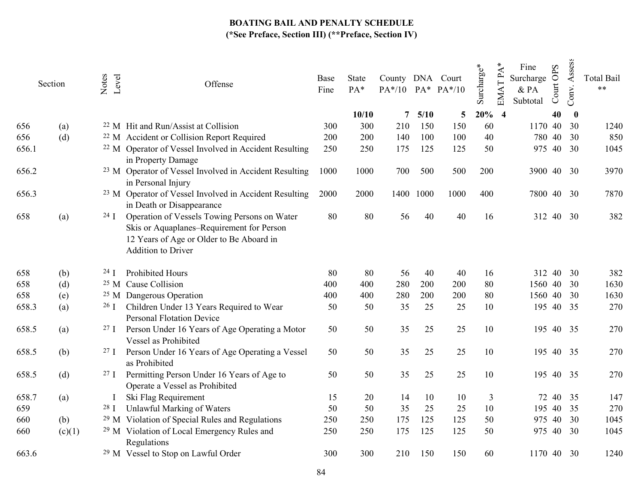|       | Section | Notes<br>Level  | Offense                                                                                                                                                            | Base<br>Fine | State<br>PA* | County DNA Court<br>$PA*/10$ $PA*$ $PA*/10$ |      |      | Surcharge*     | ⋇<br>Fine<br><b>EMATPA</b><br>Surcharge<br>&PA<br>Subtotal | ourt OPS<br>Õ | Assess<br>Conv. | <b>Total Bail</b><br>$**$ |
|-------|---------|-----------------|--------------------------------------------------------------------------------------------------------------------------------------------------------------------|--------------|--------------|---------------------------------------------|------|------|----------------|------------------------------------------------------------|---------------|-----------------|---------------------------|
|       |         |                 |                                                                                                                                                                    |              | 10/10        | 7                                           | 5/10 | 5    | 20%            | $\overline{\mathbf{4}}$                                    | 40            | $\bf{0}$        |                           |
| 656   | (a)     |                 | <sup>22</sup> M Hit and Run/Assist at Collision                                                                                                                    | 300          | 300          | 210                                         | 150  | 150  | 60             | 1170 40                                                    |               | 30              | 1240                      |
| 656   | (d)     |                 | <sup>22</sup> M Accident or Collision Report Required                                                                                                              | 200          | 200          | 140                                         | 100  | 100  | 40             | 780                                                        | 40            | 30              | 850                       |
| 656.1 |         |                 | <sup>22</sup> M Operator of Vessel Involved in Accident Resulting<br>in Property Damage                                                                            | 250          | 250          | 175                                         | 125  | 125  | 50             | 975                                                        | 40            | 30              | 1045                      |
| 656.2 |         |                 | <sup>23</sup> M Operator of Vessel Involved in Accident Resulting<br>in Personal Injury                                                                            | 1000         | 1000         | 700                                         | 500  | 500  | 200            | 3900                                                       | 40            | 30              | 3970                      |
| 656.3 |         |                 | <sup>23</sup> M Operator of Vessel Involved in Accident Resulting<br>in Death or Disappearance                                                                     | 2000         | 2000         | 1400                                        | 1000 | 1000 | 400            |                                                            | 7800 40       | 30              | 7870                      |
| 658   | (a)     | $24 \text{ I}$  | Operation of Vessels Towing Persons on Water<br>Skis or Aquaplanes-Requirement for Person<br>12 Years of Age or Older to Be Aboard in<br><b>Addition to Driver</b> | 80           | 80           | 56                                          | 40   | 40   | 16             |                                                            | 312 40        | 30              | 382                       |
| 658   | (b)     | 24 J            | <b>Prohibited Hours</b>                                                                                                                                            | 80           | 80           | 56                                          | 40   | 40   | 16             |                                                            | 312 40        | 30              | 382                       |
| 658   | (d)     |                 | <sup>25</sup> M Cause Collision                                                                                                                                    | 400          | 400          | 280                                         | 200  | 200  | 80             | 1560                                                       | 40            | 30              | 1630                      |
| 658   | (e)     |                 | <sup>25</sup> M Dangerous Operation                                                                                                                                | 400          | 400          | 280                                         | 200  | 200  | 80             | 1560                                                       | 40            | 30              | 1630                      |
| 658.3 | (a)     | $26 \text{ I}$  | Children Under 13 Years Required to Wear<br><b>Personal Flotation Device</b>                                                                                       | 50           | 50           | 35                                          | 25   | 25   | 10             | 195                                                        | 40            | 35              | 270                       |
| 658.5 | (a)     | 27 <sub>1</sub> | Person Under 16 Years of Age Operating a Motor<br>Vessel as Prohibited                                                                                             | 50           | 50           | 35                                          | 25   | 25   | 10             | 195                                                        | 40            | 35              | 270                       |
| 658.5 | (b)     | $27 \text{ J}$  | Person Under 16 Years of Age Operating a Vessel<br>as Prohibited                                                                                                   | 50           | 50           | 35                                          | 25   | 25   | 10             |                                                            | 195 40 35     |                 | 270                       |
| 658.5 | (d)     | 27 <sub>I</sub> | Permitting Person Under 16 Years of Age to<br>Operate a Vessel as Prohibited                                                                                       | 50           | 50           | 35                                          | 25   | 25   | 10             |                                                            | 195 40 35     |                 | 270                       |
| 658.7 | (a)     |                 | Ski Flag Requirement                                                                                                                                               | 15           | 20           | 14                                          | 10   | 10   | $\overline{3}$ |                                                            | 72 40         | 35              | 147                       |
| 659   |         | 28 <sub>1</sub> | Unlawful Marking of Waters                                                                                                                                         | 50           | 50           | 35                                          | 25   | 25   | 10             | 195                                                        | 40            | 35              | 270                       |
| 660   | (b)     |                 | <sup>29</sup> M Violation of Special Rules and Regulations                                                                                                         | 250          | 250          | 175                                         | 125  | 125  | 50             | 975                                                        | 40            | 30              | 1045                      |
| 660   | (c)(1)  |                 | <sup>29</sup> M Violation of Local Emergency Rules and<br>Regulations                                                                                              | 250          | 250          | 175                                         | 125  | 125  | 50             | 975                                                        | 40            | 30              | 1045                      |
| 663.6 |         |                 | <sup>29</sup> M Vessel to Stop on Lawful Order                                                                                                                     | 300          | 300          | 210                                         | 150  | 150  | 60             | 1170                                                       | 40            | 30              | 1240                      |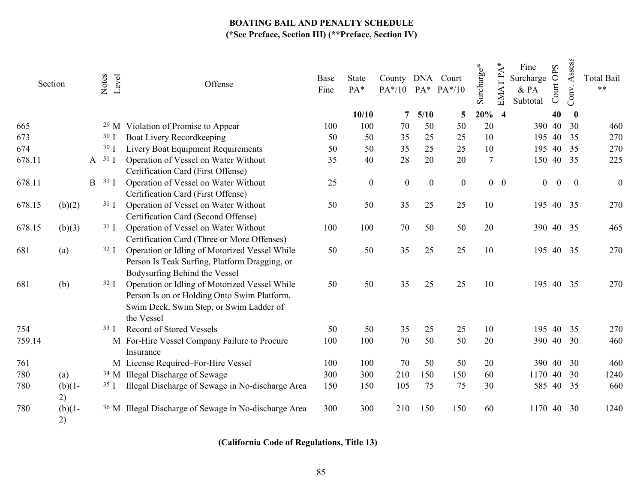| Section |                 | Notes<br>Level |                 | Offense                                                                                                                                               |     | State<br>$PA*$   | County DNA Court |                  | PA*/10 PA* PA*/10 | Surcharge*     | EMAT PA*   | Fine<br>Surcharge<br>& PA<br>Subtotal | Court OPS | Assess<br>Conv. | <b>Total Bail</b><br>$***$ |
|---------|-----------------|----------------|-----------------|-------------------------------------------------------------------------------------------------------------------------------------------------------|-----|------------------|------------------|------------------|-------------------|----------------|------------|---------------------------------------|-----------|-----------------|----------------------------|
|         |                 |                |                 |                                                                                                                                                       |     | 10/10            | 7                | 5/10             | 5                 | $20\%$ 4       |            |                                       | 40        | $\bf{0}$        |                            |
| 665     |                 |                |                 | <sup>29</sup> M Violation of Promise to Appear                                                                                                        | 100 | 100              | 70               | 50               | 50                | 20             |            | 390                                   | 40        | 30              | 460                        |
| 673     |                 |                | 30 <sub>1</sub> | Boat Livery Recordkeeping                                                                                                                             | 50  | 50               | 35               | 25               | 25                | 10             |            | 195                                   | 40        | 35              | 270                        |
| 674     |                 |                | 30 <sub>1</sub> | Livery Boat Equipment Requirements                                                                                                                    | 50  | 50               | 35               | 25               | 25                | 10             |            | 195                                   | 40        | 35              | 270                        |
| 678.11  |                 |                | $A$ 31 I        | Operation of Vessel on Water Without<br>Certification Card (First Offense)                                                                            | 35  | 40               | 28               | 20               | 20                | $\overline{7}$ |            | 150                                   | 40        | 35              | 225                        |
| 678.11  |                 | B              | $31 \text{ I}$  | Operation of Vessel on Water Without<br>Certification Card (First Offense)                                                                            | 25  | $\boldsymbol{0}$ | $\mathbf{0}$     | $\boldsymbol{0}$ | $\boldsymbol{0}$  |                | $0\quad 0$ | $\overline{0}$                        | $\bf{0}$  | $\bf{0}$        | $\boldsymbol{0}$           |
| 678.15  | (b)(2)          |                | 31 <sub>1</sub> | Operation of Vessel on Water Without<br>Certification Card (Second Offense)                                                                           | 50  | 50               | 35               | 25               | 25                | 10             |            | 195                                   | 40 35     |                 | 270                        |
| 678.15  | (b)(3)          |                | 31 <sub>1</sub> | Operation of Vessel on Water Without<br>Certification Card (Three or More Offenses)                                                                   | 100 | 100              | 70               | 50               | 50                | 20             |            | 390 40 35                             |           |                 | 465                        |
| 681     | (a)             |                | 32 <sub>I</sub> | Operation or Idling of Motorized Vessel While<br>Person Is Teak Surfing, Platform Dragging, or<br>Bodysurfing Behind the Vessel                       | 50  | 50               | 35               | 25               | 25                | 10             |            | 195 40 35                             |           |                 | 270                        |
| 681     | (b)             |                | $32 \text{ I}$  | Operation or Idling of Motorized Vessel While<br>Person Is on or Holding Onto Swim Platform,<br>Swim Deck, Swim Step, or Swim Ladder of<br>the Vessel | 50  | 50               | 35               | 25               | 25                | 10             |            | 195 40 35                             |           |                 | 270                        |
| 754     |                 |                | 33 J            | Record of Stored Vessels                                                                                                                              | 50  | 50               | 35               | 25               | 25                | 10             |            | 195                                   | 40        | 35              | 270                        |
| 759.14  |                 |                |                 | M For-Hire Vessel Company Failure to Procure<br>Insurance                                                                                             | 100 | 100              | 70               | 50               | 50                | 20             |            | 390 40                                |           | 30              | 460                        |
| 761     |                 |                |                 | M License Required-For-Hire Vessel                                                                                                                    | 100 | 100              | 70               | 50               | 50                | 20             |            | 390                                   | 40        | 30              | 460                        |
| 780     | (a)             |                |                 | <sup>34</sup> M Illegal Discharge of Sewage                                                                                                           | 300 | 300              | 210              | 150              | 150               | 60             |            | 1170                                  | 40        | 30              | 1240                       |
| 780     | $(b)(1-$<br>2)  |                | 35 <sub>1</sub> | Illegal Discharge of Sewage in No-discharge Area                                                                                                      | 150 | 150              | 105              | 75               | 75                | 30             |            | 585                                   | 40        | 35              | 660                        |
| 780     | $(b)(1 -$<br>2) |                |                 | <sup>36</sup> M Illegal Discharge of Sewage in No-discharge Area                                                                                      | 300 | 300              | 210              | 150              | 150               | 60             |            | 1170                                  | 40        | 30              | 1240                       |

# (California Code of Regulations, Title 13)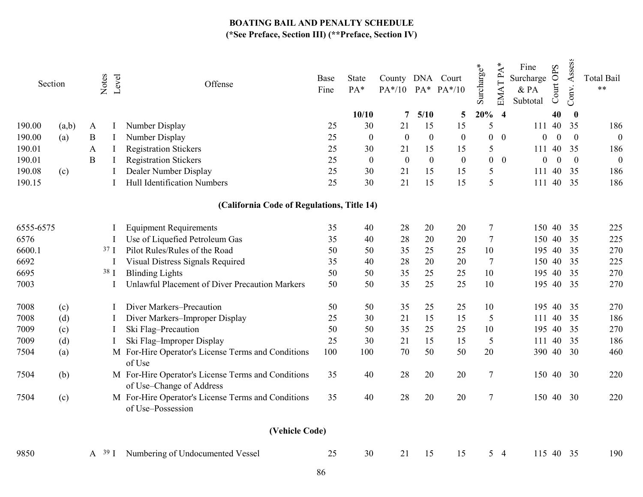|           | Section | Notes<br>Level    | Offense                                                                        | Base<br>Fine      | <b>State</b><br>PA* | County DNA Court |                  | PA*/10 PA* PA*/10 | Surcharge*       | $\mathbf{A}^*$<br><b>EMATP</b> | Fine<br>Surcharge<br>& PA<br>Subtotal | Court OPS | Assess<br>Conv.  | <b>Total Bail</b><br>$**$ |
|-----------|---------|-------------------|--------------------------------------------------------------------------------|-------------------|---------------------|------------------|------------------|-------------------|------------------|--------------------------------|---------------------------------------|-----------|------------------|---------------------------|
|           |         |                   |                                                                                |                   | 10/10               | 7                | 5/10             | 5                 | 20%              | $\overline{\mathbf{4}}$        |                                       | 40        | $\bf{0}$         |                           |
| 190.00    | (a,b)   | A                 | Number Display                                                                 | 25                | 30                  | 21               | 15               | 15                | 5                |                                | 111                                   | 40        | 35               | 186                       |
| 190.00    | (a)     | $\, {\bf B}$<br>I | Number Display                                                                 | 25                | $\boldsymbol{0}$    | $\boldsymbol{0}$ | $\boldsymbol{0}$ | $\boldsymbol{0}$  | $\boldsymbol{0}$ | $\theta$                       | $\theta$                              | $\theta$  | $\boldsymbol{0}$ | $\boldsymbol{0}$          |
| 190.01    |         | $\mathbf{A}$      | <b>Registration Stickers</b>                                                   | 25                | 30                  | 21               | 15               | 15                | 5                |                                | 111                                   | 40        | 35               | 186                       |
| 190.01    |         | $\, {\bf B}$      | <b>Registration Stickers</b>                                                   | 25                | $\boldsymbol{0}$    | $\boldsymbol{0}$ | $\mathbf{0}$     | $\boldsymbol{0}$  | $\boldsymbol{0}$ | $\mathbf{0}$                   | $\theta$                              | $\theta$  | $\overline{0}$   | $\boldsymbol{0}$          |
| 190.08    | (c)     |                   | Dealer Number Display                                                          | 25                | 30                  | 21               | 15               | 15                | 5                |                                | 111                                   | 40        | 35               | 186                       |
| 190.15    |         |                   | Hull Identification Numbers                                                    | 25                | 30                  | 21               | 15               | 15                | 5                |                                | 111                                   | 40        | 35               | 186                       |
|           |         |                   | (California Code of Regulations, Title 14)                                     |                   |                     |                  |                  |                   |                  |                                |                                       |           |                  |                           |
| 6555-6575 |         |                   | <b>Equipment Requirements</b>                                                  | 35                | 40                  | 28               | 20               | 20                | $\tau$           |                                | 150                                   | 40        | 35               | 225                       |
| 6576      |         | $\mathbf I$       | Use of Liquefied Petroleum Gas                                                 | 35                | 40                  | 28               | 20               | 20                | $\tau$           |                                | 150                                   | 40        | 35               | 225                       |
| 6600.1    |         | 37 <sub>1</sub>   | Pilot Rules/Rules of the Road                                                  | 50                | 50                  | 35               | 25               | 25                | 10               |                                | 195                                   | 40        | 35               | 270                       |
| 6692      |         |                   | Visual Distress Signals Required                                               | 35                | 40                  | 28               | 20               | 20                | $\tau$           |                                | 150                                   | 40        | 35               | 225                       |
| 6695      |         | 38 I              | <b>Blinding Lights</b>                                                         | 50                | 50                  | 35               | 25               | 25                | 10               |                                | 195                                   | 40        | 35               | 270                       |
| 7003      |         |                   | Unlawful Placement of Diver Precaution Markers                                 | 50                | 50                  | 35               | 25               | 25                | 10               |                                | 195                                   | 40        | 35               | 270                       |
| 7008      | (c)     |                   | Diver Markers-Precaution                                                       | 50                | 50                  | 35               | 25               | 25                | 10               |                                | 195                                   | 40        | 35               | 270                       |
| 7008      | (d)     | -1                | Diver Markers-Improper Display                                                 | 25                | 30                  | 21               | 15               | 15                | 5                |                                | 111                                   | 40        | 35               | 186                       |
| 7009      | (c)     | I                 | Ski Flag-Precaution                                                            | 50                | 50                  | 35               | 25               | 25                | 10               |                                | 195                                   |           | 40 35            | 270                       |
| 7009      | (d)     |                   | Ski Flag-Improper Display                                                      | 25                | 30                  | 21               | 15               | 15                | 5                |                                | 111                                   | 40        | 35               | 186                       |
| 7504      | (a)     |                   | M For-Hire Operator's License Terms and Conditions<br>of Use                   | 100               | 100                 | 70               | 50               | 50                | 20               |                                | 390                                   |           | 40 30            | 460                       |
| 7504      | (b)     |                   | M For-Hire Operator's License Terms and Conditions<br>of Use-Change of Address | 35                | 40                  | 28               | 20               | 20                | $\tau$           |                                | 150                                   | 40        | 30               | 220                       |
| 7504      | (c)     |                   | M For-Hire Operator's License Terms and Conditions<br>of Use-Possession        | 35                | 40                  | 28               | 20               | 20                | $\tau$           |                                | 150 40                                |           | 30               | 220                       |
|           |         |                   | (Vehicle Code)                                                                 |                   |                     |                  |                  |                   |                  |                                |                                       |           |                  |                           |
| 9850      |         | A <sup>39</sup> I | Numbering of Undocumented Vessel                                               | 25                | 30                  | 21               | 15               | 15                |                  | 5 <sub>4</sub>                 | 115                                   | 40        | 35               | 190                       |
|           |         |                   |                                                                                | $Q_{\mathcal{L}}$ |                     |                  |                  |                   |                  |                                |                                       |           |                  |                           |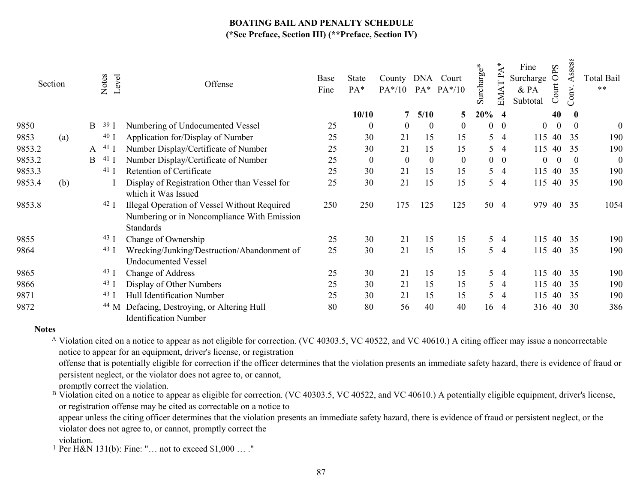|        | Section |   | Notes<br>Level | Offense                                                                                                  | Base<br>Fine | State<br>PA*     | County DNA Court<br>$PA*/10$ |                  | $PA^*$ $PA^*/10$ | $\mathrm{Surchar} \mathrm{ge}^*$ | ≺<br>EMATP     | Fine<br>Surcharge<br>& PA<br>Subtotal | OPS<br>ourt<br>◡ | ess<br>SS<br>⋖<br>Conv. | Total Bail<br>** |
|--------|---------|---|----------------|----------------------------------------------------------------------------------------------------------|--------------|------------------|------------------------------|------------------|------------------|----------------------------------|----------------|---------------------------------------|------------------|-------------------------|------------------|
|        |         |   |                |                                                                                                          |              | 10/10            | 7                            | 5/10             | $\overline{5}$   | $20\%$ 4                         |                |                                       | 40               | $\mathbf{0}$            |                  |
| 9850   |         | B | 39             | Numbering of Undocumented Vessel                                                                         | 25           | $\boldsymbol{0}$ | $\mathbf{0}$                 | $\boldsymbol{0}$ | $\mathbf{0}$     | $\boldsymbol{0}$                 | $\overline{0}$ | $\overline{0}$                        | $\mathbf{0}$     | $\theta$                | $\boldsymbol{0}$ |
| 9853   | (a)     |   | 40 ]           | Application for/Display of Number                                                                        | 25           | 30               | 21                           | 15               | 15               | 5                                | 4              | 115                                   | 40               | 35                      | 190              |
| 9853.2 |         | A | 41             | Number Display/Certificate of Number                                                                     | 25           | 30               | 21                           | 15               | 15               | 5                                | -4             | 115                                   | 40               | 35                      | 190              |
| 9853.2 |         | B | 41 $\vert$     | Number Display/Certificate of Number                                                                     | 25           | $\boldsymbol{0}$ | $\boldsymbol{0}$             | $\mathbf{0}$     | $\boldsymbol{0}$ | $\overline{0}$                   | $\overline{0}$ | $\theta$                              | $\theta$         | $\theta$                | $\boldsymbol{0}$ |
| 9853.3 |         |   | $41$ J         | Retention of Certificate                                                                                 | 25           | 30               | 21                           | 15               | 15               | 5                                | $\overline{4}$ | 115                                   | 40               | 35                      | 190              |
| 9853.4 | (b)     |   |                | Display of Registration Other than Vessel for<br>which it Was Issued                                     | 25           | 30               | 21                           | 15               | 15               | 5                                | -4             | 115                                   | 40               | 35                      | 190              |
| 9853.8 |         |   | 42 J           | Illegal Operation of Vessel Without Required<br>Numbering or in Noncompliance With Emission<br>Standards | 250          | 250              | 175                          | 125              | 125              | 50                               | $\overline{4}$ | 979                                   |                  | 40 35                   | 1054             |
| 9855   |         |   | 43 J           | Change of Ownership                                                                                      | 25           | 30               | 21                           | 15               | 15               | 5                                | $\overline{4}$ | 115                                   | 40               | 35                      | 190              |
| 9864   |         |   | 43 ]           | Wrecking/Junking/Destruction/Abandonment of<br><b>Undocumented Vessel</b>                                | 25           | 30               | 21                           | 15               | 15               | 5                                | $\overline{4}$ |                                       | 115 40           | - 35                    | 190              |
| 9865   |         |   | 43 J           | <b>Change of Address</b>                                                                                 | 25           | 30               | 21                           | 15               | 15               |                                  | $5\quad 4$     | 115                                   | 40               | 35                      | 190              |
| 9866   |         |   | 43 <b>J</b>    | Display of Other Numbers                                                                                 | 25           | 30               | 21                           | 15               | 15               | 5                                | -4             | 115                                   | 40               | 35                      | 190              |
| 9871   |         |   | 43 I           | Hull Identification Number                                                                               | 25           | 30               | 21                           | 15               | 15               | 5                                | $\overline{4}$ | 115                                   | 40               | 35                      | 190              |
| 9872   |         |   | 44 M           | Defacing, Destroying, or Altering Hull<br><b>Identification Number</b>                                   | 80           | 80               | 56                           | 40               | 40               |                                  | 16 4           | 316 40                                |                  | 30                      | 386              |

#### **Notes**

<sup>A</sup> Violation cited on a notice to appear as not eligible for correction. (VC 40303.5, VC 40522, and VC 40610.) A citing officer may issue a noncorrectable notice to appear for an equipment, driver's license, or registration

offense that is potentially eligible for correction if the officer determines that the violation presents an immediate safety hazard, there is evidence of fraud or persistent neglect, or the violator does not agree to, or cannot,

promptly correct the violation.

<sup>B</sup> Violation cited on a notice to appear as eligible for correction. (VC 40303.5, VC 40522, and VC 40610.) A potentially eligible equipment, driver's license, or registration offense may be cited as correctable on a notice to

appear unless the citing officer determines that the violation presents an immediate safety hazard, there is evidence of fraud or persistent neglect, or the violator does not agree to, or cannot, promptly correct the

violation.

1 Per H&N 131(b): Fine: "… not to exceed \$1,000 … ."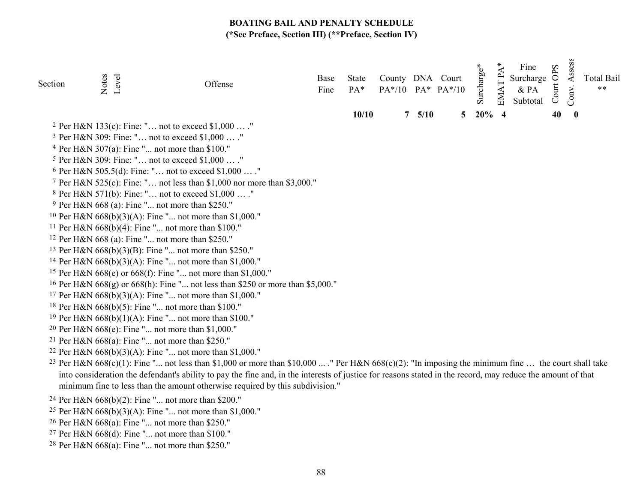| Section | Notes<br>Level | Offense                                                                                                                                                                                                                                      | Base<br>Fine | <b>State</b><br>PA* |               | County DNA Court<br>$PA*/10$ $PA*$ $PA*/10$ | Surcharge* | $\mathbf{A}^*$<br><b>EMATP</b> | Fine<br>Surcharge<br>$\&$ PA<br>Subtotal | Court OPS | Assess<br>Conv.  | <b>Total Bail</b><br>$***$ |
|---------|----------------|----------------------------------------------------------------------------------------------------------------------------------------------------------------------------------------------------------------------------------------------|--------------|---------------------|---------------|---------------------------------------------|------------|--------------------------------|------------------------------------------|-----------|------------------|----------------------------|
|         |                |                                                                                                                                                                                                                                              |              | 10/10               | $7\quad 5/10$ | 5 <sup>5</sup>                              | $20\%$ 4   |                                |                                          | 40        | $\boldsymbol{0}$ |                            |
|         |                | <sup>2</sup> Per H&N 133(c): Fine: " not to exceed \$1,000  ."                                                                                                                                                                               |              |                     |               |                                             |            |                                |                                          |           |                  |                            |
|         |                | <sup>3</sup> Per H&N 309: Fine: " not to exceed \$1,000  ."                                                                                                                                                                                  |              |                     |               |                                             |            |                                |                                          |           |                  |                            |
|         |                | <sup>4</sup> Per H&N 307(a): Fine " not more than \$100."                                                                                                                                                                                    |              |                     |               |                                             |            |                                |                                          |           |                  |                            |
|         |                | <sup>5</sup> Per H&N 309: Fine: " not to exceed \$1,000  ."                                                                                                                                                                                  |              |                     |               |                                             |            |                                |                                          |           |                  |                            |
|         |                | <sup>6</sup> Per H&N 505.5(d): Fine: " not to exceed \$1,000  ."                                                                                                                                                                             |              |                     |               |                                             |            |                                |                                          |           |                  |                            |
|         |                | 7 Per H&N 525(c): Fine: " not less than \$1,000 nor more than \$3,000."                                                                                                                                                                      |              |                     |               |                                             |            |                                |                                          |           |                  |                            |
|         |                | <sup>8</sup> Per H&N 571(b): Fine: " not to exceed \$1,000  ."                                                                                                                                                                               |              |                     |               |                                             |            |                                |                                          |           |                  |                            |
|         |                | <sup>9</sup> Per H&N 668 (a): Fine " not more than \$250."                                                                                                                                                                                   |              |                     |               |                                             |            |                                |                                          |           |                  |                            |
|         |                | <sup>10</sup> Per H&N $668(b)(3)(A)$ : Fine " not more than \$1,000."                                                                                                                                                                        |              |                     |               |                                             |            |                                |                                          |           |                  |                            |
|         |                | <sup>11</sup> Per H&N $668(b)(4)$ : Fine " not more than \$100."                                                                                                                                                                             |              |                     |               |                                             |            |                                |                                          |           |                  |                            |
|         |                | <sup>12</sup> Per H&N 668 (a): Fine " not more than \$250."                                                                                                                                                                                  |              |                     |               |                                             |            |                                |                                          |           |                  |                            |
|         |                | <sup>13</sup> Per H&N $668(b)(3)(B)$ : Fine " not more than \$250."                                                                                                                                                                          |              |                     |               |                                             |            |                                |                                          |           |                  |                            |
|         |                | <sup>14</sup> Per H&N $668(b)(3)(A)$ : Fine " not more than \$1,000."                                                                                                                                                                        |              |                     |               |                                             |            |                                |                                          |           |                  |                            |
|         |                | <sup>15</sup> Per H&N 668(e) or 668(f): Fine " not more than \$1,000."                                                                                                                                                                       |              |                     |               |                                             |            |                                |                                          |           |                  |                            |
|         |                | <sup>16</sup> Per H&N $668(g)$ or $668(h)$ : Fine " not less than \$250 or more than \$5,000."                                                                                                                                               |              |                     |               |                                             |            |                                |                                          |           |                  |                            |
|         |                | <sup>17</sup> Per H&N 668(b)(3)(A): Fine " not more than \$1,000."                                                                                                                                                                           |              |                     |               |                                             |            |                                |                                          |           |                  |                            |
|         |                | <sup>18</sup> Per H&N 668(b)(5): Fine " not more than \$100."                                                                                                                                                                                |              |                     |               |                                             |            |                                |                                          |           |                  |                            |
|         |                | <sup>19</sup> Per H&N $668(b)(1)(A)$ : Fine " not more than \$100."                                                                                                                                                                          |              |                     |               |                                             |            |                                |                                          |           |                  |                            |
|         |                | <sup>20</sup> Per H&N 668(e): Fine " not more than \$1,000."                                                                                                                                                                                 |              |                     |               |                                             |            |                                |                                          |           |                  |                            |
|         |                | <sup>21</sup> Per H&N $668(a)$ : Fine " not more than \$250."                                                                                                                                                                                |              |                     |               |                                             |            |                                |                                          |           |                  |                            |
|         |                | <sup>22</sup> Per H&N $668(b)(3)(A)$ : Fine " not more than \$1,000."                                                                                                                                                                        |              |                     |               |                                             |            |                                |                                          |           |                  |                            |
|         |                | <sup>23</sup> Per H&N $668(c)(1)$ : Fine " not less than \$1,000 or more than \$10,000  ." Per H&N $668(c)(2)$ : "In imposing the minimum fine  the court shall take                                                                         |              |                     |               |                                             |            |                                |                                          |           |                  |                            |
|         |                | into consideration the defendant's ability to pay the fine and, in the interests of justice for reasons stated in the record, may reduce the amount of that<br>minimum fine to less than the amount otherwise required by this subdivision." |              |                     |               |                                             |            |                                |                                          |           |                  |                            |
|         |                | <sup>24</sup> Per H&N 668(b)(2): Fine " not more than \$200."                                                                                                                                                                                |              |                     |               |                                             |            |                                |                                          |           |                  |                            |
|         |                | 25 Don H $0.$ M $220(h)(2)(h)$ . Eine $\mu$ not move than $\ell$ 1.000 $\mu$                                                                                                                                                                 |              |                     |               |                                             |            |                                |                                          |           |                  |                            |

- 25 Per H&N 668(b)(3)(A): Fine "... not more than \$1,000."
- 26 Per H&N 668(a): Fine "... not more than \$250."
- 27 Per H&N 668(d): Fine "... not more than \$100."
- 28 Per H&N 668(a): Fine "... not more than \$250."